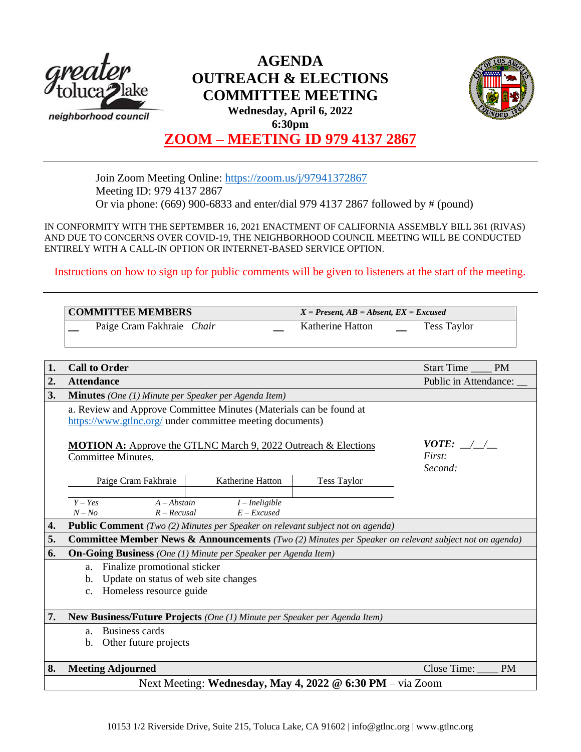

# **AGENDA OUTREACH & ELECTIONS COMMITTEE MEETING Wednesday, April 6, 2022 6:30pm**



# **ZOOM – MEETING ID 979 4137 2867**

Join Zoom Meeting Online:<https://zoom.us/j/97941372867> Meeting ID: 979 4137 2867 Or via phone: (669) 900-6833 and enter/dial 979 4137 2867 followed by # (pound)

IN CONFORMITY WITH THE SEPTEMBER 16, 2021 ENACTMENT OF CALIFORNIA ASSEMBLY BILL 361 (RIVAS) AND DUE TO CONCERNS OVER COVID-19, THE NEIGHBORHOOD COUNCIL MEETING WILL BE CONDUCTED ENTIRELY WITH A CALL-IN OPTION OR INTERNET-BASED SERVICE OPTION.

Instructions on how to sign up for public comments will be given to listeners at the start of the meeting.

| <b>COMMITTEE MEMBERS</b>  |  | $X = Present, AB = Absent, EX = Excused$ |                    |
|---------------------------|--|------------------------------------------|--------------------|
| Paige Cram Fakhraie Chair |  | Katherine Hatton                         | <b>Tess Taylor</b> |

| 1. | <b>Call to Order</b>                                                                                  | Start Time<br><b>PM</b>                    |                    |                          |  |  |  |
|----|-------------------------------------------------------------------------------------------------------|--------------------------------------------|--------------------|--------------------------|--|--|--|
| 2. | <b>Attendance</b>                                                                                     |                                            |                    | Public in Attendance:    |  |  |  |
| 3. | <b>Minutes</b> (One (1) Minute per Speaker per Agenda Item)                                           |                                            |                    |                          |  |  |  |
|    | a. Review and Approve Committee Minutes (Materials can be found at                                    |                                            |                    |                          |  |  |  |
|    | https://www.gtlnc.org/ under committee meeting documents)                                             |                                            |                    |                          |  |  |  |
|    | <b>MOTION A:</b> Approve the GTLNC March 9, 2022 Outreach & Elections<br>Committee Minutes.           | <i>VOTE:</i> $\angle$<br>First:<br>Second: |                    |                          |  |  |  |
|    | Paige Cram Fakhraie                                                                                   | Katherine Hatton                           | <b>Tess Taylor</b> |                          |  |  |  |
|    |                                                                                                       |                                            |                    |                          |  |  |  |
|    | $Y - Yes$<br>$A - Abstain$                                                                            | $I$ – Ineligible                           |                    |                          |  |  |  |
|    | $N - No$<br>$R - Recusal$                                                                             | $E$ – Excused                              |                    |                          |  |  |  |
| 4. | <b>Public Comment</b> (Two (2) Minutes per Speaker on relevant subject not on agenda)                 |                                            |                    |                          |  |  |  |
| 5. | Committee Member News & Announcements (Two (2) Minutes per Speaker on relevant subject not on agenda) |                                            |                    |                          |  |  |  |
| 6. | <b>On-Going Business</b> (One (1) Minute per Speaker per Agenda Item)                                 |                                            |                    |                          |  |  |  |
|    | Finalize promotional sticker<br>a.                                                                    |                                            |                    |                          |  |  |  |
|    | Update on status of web site changes<br>b.                                                            |                                            |                    |                          |  |  |  |
|    | Homeless resource guide<br>$c_{\cdot}$                                                                |                                            |                    |                          |  |  |  |
|    |                                                                                                       |                                            |                    |                          |  |  |  |
| 7. | New Business/Future Projects (One (1) Minute per Speaker per Agenda Item)                             |                                            |                    |                          |  |  |  |
|    | Business cards<br>a.                                                                                  |                                            |                    |                          |  |  |  |
|    | Other future projects<br>b.                                                                           |                                            |                    |                          |  |  |  |
|    |                                                                                                       |                                            |                    |                          |  |  |  |
| 8. | <b>Meeting Adjourned</b>                                                                              |                                            |                    | Close Time:<br><b>PM</b> |  |  |  |
|    | Next Meeting: Wednesday, May 4, 2022 @ 6:30 PM – via Zoom                                             |                                            |                    |                          |  |  |  |